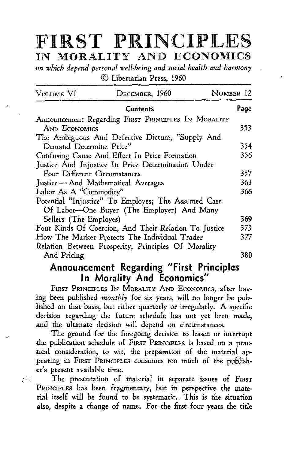# **FIRST PRINCIPLES**  liN MORALITY AND ECONOMIC§

*on which depend personal well-being and social health and harmony*  © Libertarian Press, 1960

| Volume VI                           | DECEMBER, 1960                                                                                       | NUMBER 12 |
|-------------------------------------|------------------------------------------------------------------------------------------------------|-----------|
|                                     | <b>Contents</b>                                                                                      | Page      |
|                                     | Announcement Regarding FIRST PRINCIPLES IN MORALITY                                                  |           |
| AND ECONOMICS                       |                                                                                                      | 353.      |
|                                     | The Ambiguous And Defective Dictum, "Supply And                                                      |           |
| Demand Determine Price"             |                                                                                                      | 354       |
|                                     | Confusing Cause And Effect In Price Formation                                                        | 356       |
|                                     | Justice And Injustice In Price Determination Under                                                   |           |
| Four Different Circumstances        |                                                                                                      | 357.      |
| Justice - And Mathematical Averages |                                                                                                      | 363.      |
| Labor As A "Commodity"              |                                                                                                      | 366       |
|                                     | Potential "Injustice" To Employes; The Assumed Case<br>Of Labor-One Buyer (The Employer) And Many    |           |
| Sellers (The Employes)              |                                                                                                      | 369       |
|                                     | Four Kinds Of Coercion, And Their Relation To Justice                                                | 373       |
|                                     | How The Market Protects The Individual Trader<br>Relation Between Prosperity, Principles Of Morality | 377       |
| And Pricing                         |                                                                                                      | 380       |

# **Announcement Regarding "First Principles In Morality And Economics"**

FIRST PRINCIPLES IN MORALITY AND ECONOMICS, after having been published *monthly* for six years, will no longer be published on that basis, but either quarterly or irregularly. A specific decision regarding the future schedule has not yet been made, and the ultimate decision will depend on circumstances.

The ground for the foregoing decision to lessen or interrupt the publication schedule of FIRsT PRINCIPLES is based on a prac· tical consideration, to wit, the preparation of the material appearing in FIRST PRINCIPLES consumes too much of the publisher's present available time.

The presentation of material in separate issues of FIRST PRINCIPLES has been fragmentary, but in perspective the material itself will be found to be systematic. This is the situation also, despite a change of name. For the first four years the title

 $\mathcal{L}_{\text{max}}$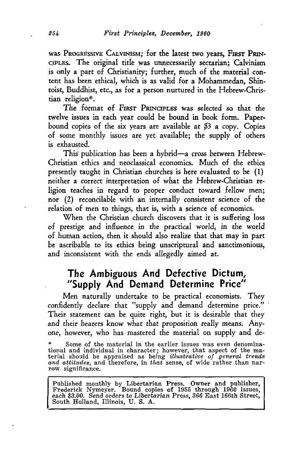was PROGRESSIVE CALVINISM; for the latest two years, FIRST PRIN-CIPLES. The original title was unnecessarily sectarian; Calvinism is only a part of Christianity; further, much of the material content has been ethical, which is as valid for a Mohammedan, Shintoist, Buddhist, etc., as for a person nurtured in the Hebrew-Christian religion\*.

The format of FIRST PRINCIPLES was selected so that the twelve issues in each year could be bound in book form. Paperbound copies of the six years are available at \$3 a copy. Copies of some monthly issues are yet available; the supply of others is exhausted.

This' publication has been a hybrid-a cross between Hebrew-Christian ethics and neoclassical economics. Much of the ethics presently taught in Christian churches is here evaluated to be ( 1) neither a correct interpretation of what the Hebrew-Christian religion teaches in regard to proper conduct toward fellow men; nor (2) reconcilable with an internally consistent science of the relation of men to things, that is, with a science of economics.

When the Christian church discovers that it is suffering loss of prestige and inlluence in the practical world, in the world of human action, then it should also realize that that may in part be ascribable to its ethics being unscriptural and sanctimonious, and inconsistent with the ends allegedly aimed at.

# **The Ambiguous And Defective Dictum, "Supply And Demand Determine Price"**

Men naturally undertake to be practical economists. They confidently declare that "supply and demand determine price." Their statement can be quite right, but it is desirable that they and their hearers know what that proposition really means. Anyone, however, who has mastered the material on supply and de-

Published monthly by Libertarian Press. Owner and publisher, Frederick Nymeyer. Bound copies of 1955 through 1960 issues, each \$3.00. Send orders to Libertarian Press, 366 East 166th Street, South Holland, Illinois, U. S.

<sup>\*</sup> Some of the material in the earlier issues was even denominational and individual in character; however, that aspect of the ma- terial should be appraised as being *illustrative of general trends and attitudes,* and therefore, in *that* sense, of wide rather than nar- row significance.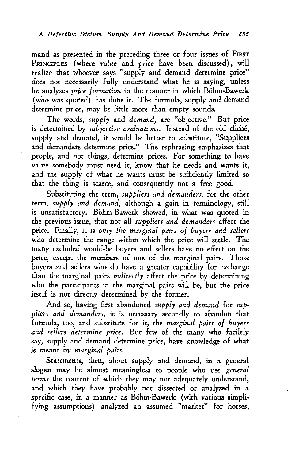mand as presented in the preceding three or four issues of FIRST PRINCIPLES (where *value* and *price* have been discussed), will realize that whoever says "supply and demand determine price" does not necessarily fully understand what he is saying, unless he analyzes *price formation* in the manner in which Böhm-Bawerk (who was quoted) has done it. The formula, supply and demand determine price, may be little more than empty sounds.

The words, *supply* and *demand,* are "objective." But price is determined by *subjective evaluations*. Instead of the old cliché, supply and demand, it would be better to substitute, "Suppliers and demanders determine price." The rephrasing emphasizes that people, and not things, determine prices. For something to have value somebody must need it, know that he needs and wants it, and the supply of what he wants must be sufficiently limited so that the thing is scarce, and consequently not a free good.

Substituting the term, *suppliers and demanders,* for the other term, *supply and demand,* although a gain in terminology, still is unsatisfactory. Böhm-Bawerk showed, in what was quoted in the previous issue, that not all *suppliers and demanders* affect the price. Finally, it is *only the marginal pairs of buyers and sellers*  who determine the range within which the price will settle. The many excluded would-be buyers and sellers have no effect on the price, except the members of one of the marginal pairs. Those buyers and sellers who do have a greater capability for exchange than the marginal pairs *indirectly* affect the price by determining who the participants in the marginal pairs will be, but the price itself is not directly determined by the former.

And so, having first abandoned *supply and demand* for *suppliers and demanders,* it is necessary secondly to abandon that formula, too, and substitute for it, the *marginal pairs of buyers and sellers determine price.* But few of the many who facilely say, supply and demand determine price, have knowledge of what is meant by *marginal pairs.* 

Statements, then, about supply and demand, in a general slogan may be almost meaningless to people who use *general terms* the content of which they may not adequately understand, and which they have probably not dissected or analyzed in a specific case, in a manner as Bohm-Bawerk (with various simpli· fying assumptions) analyzed an assumed "market" for horses,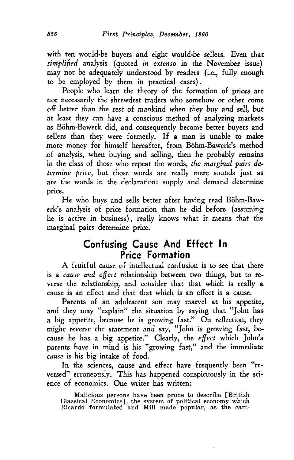with ten would-be buyers and eight would-be sellers. Even that *simplified* analysis (quoted *in extenso* in the November issue) may not be adequately understood by readers (i.e., fully enough to be employed by them in practical cases).

People who learn the theory of the formation of prices are not necessarily the shrewdest traders who somehow or other come off better than the rest of mankind when they buy and sell, *but*  at least they can have a conscious method of analyzing markets as Bohm-Bawerk did, and consequently become better buyers and sellers than they were formerly. If a man is unable to make more money for himself hereafter, from Böhm-Bawerk's method .of analysis, when buying and selling, then he probably remains in the class of those who repeat the words, *the marginal pairs determine price,* but those words are really mere sounds just as are the words in the declaration: supply and demand determine price.

He who buys and sells better after having read Bohm-Bawerk's analysis of price formation than he did before (assuming he is active in business), really knows what it means that the marginal pairs determine price.

# **Confus.ing Cause And Effect In Price Formation**

A fruitful cause of intellectual confusion is to see that there is a *cause and effect* relationship between two things, but to reverse the relationship, and consider that that which is really a cause is an effect and that that which is an effect is a cause.

Parents of an adolescent son may marvel at his appetite, and they may "explain" the situation by saying that "John has a big appetite, because he is growing fast." On reflection, they might reverse the statement and say, "John is growing fast, because he has a big appetite." Clearly, the *effect* which John's parents have in mind is his "growing fast," and the immediate *cause* is his big intake of food.

In the sciences, cause and effect have frequently been "reversed" erroneously. This has happened conspicuously in the science of economics. One writer has written:

Malicious persons have been prone to describe [British Classical Economics], the system of political economy which Ricardo formulated and Mill made popular, as the cart-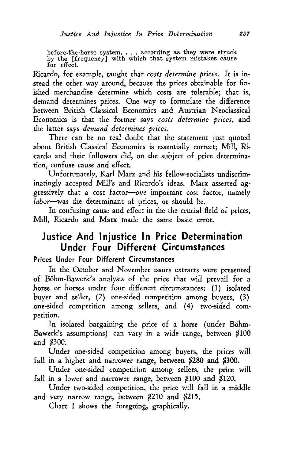before-the-horse system, ... according as they were struck by the [frequency] with which that system mistakes cause for effect.

Ricardo, for example, taught that *costs determine prices.* It is instead the other way around, because the prices obtainable for finished merchandise determine which costs are tolerable; that is, demand determines prices. One way to formulate the difference between British Classical Economics and Austrian Neoclassical Economics is that the former says *costs determine prices,* and the latter says *demand determines prices.* 

There can be no real doubt that the statement just quoted about British Classical Economics is essentially correct; Mill, Ricardo and their followers did, on the subject of price determination, confuse cause and effect.

Unfortunately, Karl Marx and his fellow-socialists undiscriminatingly accepted Mill's and Ricardo's ideas. Marx asserted aggressively that a cost factor-one important cost factor, namely *labor-was* the determinant of prices, or should be.

In confusing cause and effect in the the crucial field of prices, Mill, Ricardo and Marx made the same basic error.

# **Justice And Injustice In Price Determination Under Four Different Circumstances**

### Prices Under Four Different Circumstances

In the October and November issues extracts were presented of Böhm-Bawerk's analysis of the price that will prevail for a horse or horses under four different circumstances: (1) isolated buyer and seller, (2) one-sided competition among buyers, (3) one-sided competition among sellers, and (4) two-sided competition.

In isolated bargaining the price of a horse (under Böhm-Bawerk's assumptions) can vary in a wide range, between \$100 and \$300.

Under one-sided competition among buyers, the prices will fall in a higher and narrower range, between \$280 and \$300.

Under one-sided competition among sellers, the price will fall in a lower and narrower range, between \$100 and \$120.

Under two-sided competition, the price will fall in a middle and very narrow range, between \$210 and \$215.

Chart I shows the foregoing, graphically.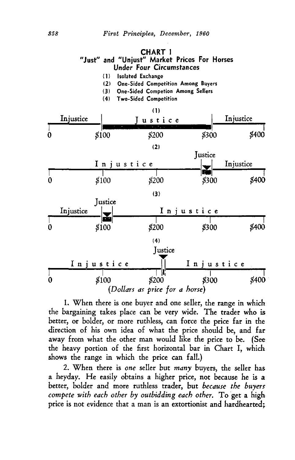### **CHART I "Just" and "Unjust" Market Prices For Horses Under Four Circumstances**

- (1) Isolated Exchange
- (2) One-Sided Competition Among Buyers
- (3) One-Sided Competion Among Sellers
- (4) Two-Sided Competition



L When there is one buyer and one seller, the range in which the bargaining takes place can be very wide. The trader who is better, or bolder, or more ruthless, can force the price far in the direction of his own idea of what the price should be, and far away from what the other man would like the price to be. (See the heavy portion of the first horizontal bar in Chart I, which shows the range in which the price can fall.)

2. When there is *one* seller but *many* buyers, the seller has a heyday. He easily obtains a higher price, not because he is a better, bolder and more ruthless trader, but *because the buyers compete with each other by outbidding each other.* To get a high price is not evidence that a man is an extortionist and hardhearted;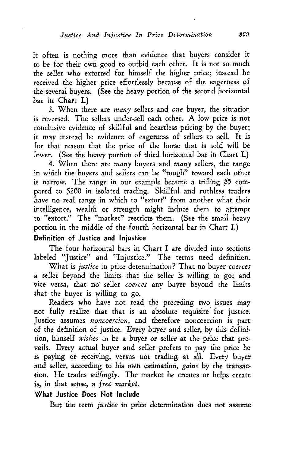it often is nothing more than evidence that buyers consider it to be for their own good to outbid each other. It is not so much the seller who extorted for himself the higher price; instead he received the higher price effortlessly because of the eagerness of the several buyers. (See the heavy portion of the second horizontal bar in Chart I.)

3. When there are *many* sellers and *one* buyer, the situation is reversed. The sellers under-sell each other. A low price is not conclusive evidence of skillful and heartless pricing by the buyer; it may instead be evidence of eagerness of sellers to sell. It is for that reason that the price of the horse that is sold will be lower. (See the heavy portion of third horizontal bar in Chart I.)

4. When there are *many* buyers and *many* sellers, the range in which the buyers and sellers can be "tough" toward each other is narrow. The range in our example became a trifling \$5 compared to \$200 in isolated trading. Skillful and ruthless traders have no real range in which to "extort" from another what their intelligence, wealth or strength might induce them to attempt to "extort." The "market" restricts them. (See the small heavy portion in the middle of the fourth horizontal bar in Chart I.)

### Definition of Justice and Injustice

The four horizontal bars in Chart I are divided into sections labeled "Justice" and "Injustice." The terms need definition.

What is *justice* in price determination? That no buyer *coerces*  a seller beyond the limits that the seller is willing to go; and vice versa, that no seller *coerces* any buyer beyond the limits that the buyer is willing to go.

Readers who have not read the preceding two issues may not fully realize that that is an absolute requisite for justice. Justice assumes *noncoercion*, and therefore noncoercion is part of the definition of justice. Every buyer and seller, by this definition, himself *wishes* to be a buyer or seller at the price that prevails. Every actual buyer and seller prefers to pay the price he is paying or receiving, versus not trading at all. Every buyer and seller, according to his own estimation, *gains* by the transaction. He trades *willingly.* The market he creates or helps create is, in that sense, a *free market.* 

### What Justice Does Not Include

But the term *justice* in price determination does not assume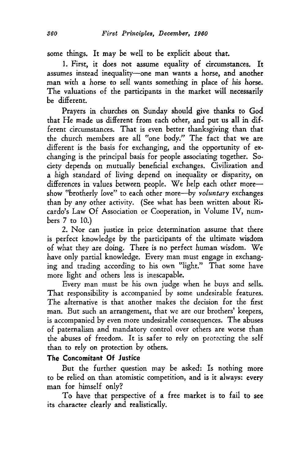some things. It may be well to be explicit about that.

1. First, it does not assume equality of circumstances. It assumes instead inequality-one man wants a horse, and another man with a horse to sell wants something in place of his horse. The valuations of the participants in the market will necessarily be different.

Prayers in churches on Sunday should give thanks to God that He made us different from each other, and put us all in different circumstances. That is even better thanksgiving than that the church members are all "one body." The fact that we are different is the basis for exchanging, and the opportunity of exchanging is the principal basis for people associating together. Society depends on mutually beneficial exchanges. Civilization and a high standard of living depend on inequality or disparity, on differences in values between people. We help each other moreshow "brotherly love" to each other more-by *voluntary* exchanges than by any other activity. (See what has been written about Ricardo's Law Of Association or Cooperation, in Volume IV, numbers 7 to 10.)

2. Nor can justice in price determination assume that there is perfect knowledge by the participants of the ultimate wisdom of what they are doing. There is no perfect human wisdom. We have only partial knowledge. Every man must engage in exchanging and trading according to his own "light." That some have more light and others less is inescapable.

Every man must be his own judge when he buys and sells. That responsibility is accompanied by some undesirable features. The alternative is that another makes the decision for the first man. But such an arrangement, that we are our brothers' keepers, is accompanied by even more undesirable consequences. The abuses of paternalism and mandatory control over others are worse than the abuses of freedom. It is safer to rely on protecting the self than to rely on protection by others.

### **The Concomitant Of Justice**

But the further question may be asked: Is nothing more to be relied on than atomistic competition, and is it always: every man for himself only?

To have that perspective of a free market is to fail to see its character clearly and realistically.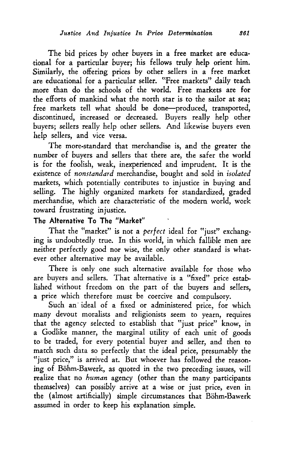The bid prices by other buyers in a free market are educational for a particular buyer; his fellows truly help orient him. Similarly, the offering prices by other sellers in a free market are educational for a particular seller. "Free markets" daily teach more than do the schools of the world. Free markets are for the efforts of mankind what the north star is to the sailor at sea; free markets tell what should be done-produced, transported, discontinued, increased or decreased. Buyers really help other buyers; sellers really help other sellers. And likewise buyers even help sellers, and vice versa.

The more-standard that merchandise is, and the greater the number of buyers and sellers that there are, the safer the world is for the foolish, weak, inexperienced and imprudent. It is the existence of *nonstandard* merchandise, bought and sold in *isolated*  markets, which potentially contributes to injustice in buying and selling. The highly organized markets for standardized, graded merchandise, which are characteristic of the modem world, work toward frustrating injustice.

### **The Alternative To The "Market"**

That the "market" is not a *perfect* ideal for "just" exchanging is undoubtedly true. In this world, in which fallible men are neither perfectly good nor wise, the only other standard is whatever other alternative may be available.

There is only one such alternative available for those who are buyers and sellers. That alternative is a "fixed" price established without freedom on the part of the buyers and sellers, a price which therefore must be coercive and compulsory.

Such an ideal of a fixed or administered price, for which many devout moralists and religionists seem to yearn, requires that the agency selected to establish that "just price" know, in a Godlike manner, the marginal utility of each unit of goods to be traded, for every potential buyer and seller, and then to match such data so perfectly that the ideal price, presumably the "just price," is arrived at. But whoever has followed the reasoning of Bohm-Bawerk, as quoted in the two preceding issues, will realize that no *human* agency (other than the many participants themselves) can possibly arrive at a wise or just price, even in the (almost artificially) simple circumstances that Böhm-Bawerk assumed in order to keep his explanation simple.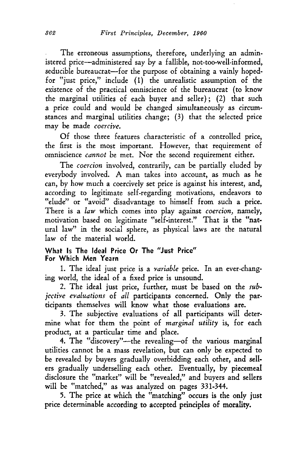The erroneous assumptions, therefore, underlying an administered price-administered say by a fallible, not-too-well-informed, seducible bureaucrat-for the purpose of obtaining a vainly hopedfor "just price," include ( 1) the unrealistic assumption of the existence of the practical omniscience of the bureaucrat (to know the marginal utilities of each buyer and seller); (2) that such a price could and would be changed simultaneously as circumstances and marginal utilities change; (3) that the selected price may be made *coercive*.

Of those three features characteristic of a controlled price, the first is the most important. However, that requirement of omniscience *cannot* be met. Nor the second requirement either.

The *coercion* involved, contrarily, can be partially eluded by everybody involved. A man takes into account, as much as he can, by how much a coercively set price is against his interest, and, according to legitimate self-regarding motivations, endeavors to "elude" or "avoid" disadvantage to himself from such a price. There is a *law* which comes into play against *coercion,* namely, motivation based on legitimate "self-interest." That is the "nat· ural law" in the social sphere, as physical laws are the natural law of the material world.

#### What Is The Ideal Price Or The "Just Price" For Which Men Yearn

1. The ideal just price is a *Yariable* price. In an ever-changing world, the ideal of a fixed price is unsound.

2. The ideal just price, further, must be based on the *subjective evaluations* of *all* participants concerned. Only the participants themselves will know what those evaluations are.

3. The subjective evaluations of all participants will determine what for them the point of *marginal utility* is, for each product, at a particular time and place.

4. The "discovery"-the revealing-of the various marginal utilities cannot be a mass revelation, but can only be expected to be revealed by buyers gradually overbidding each other, and sellers gradually underselling each other. Eventually, by piecemeal disclosure the "market" will be "revealed," and buyers and sellers will be "matched," as was analyzed on pages 331-344.

5. The price at which the "matching" occurs is the only just price determinable according to accepted principles of morality.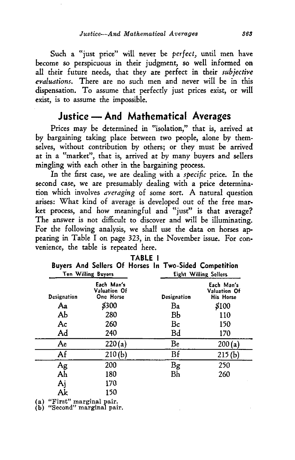Such a "just price" will never be *perfect,* until men have become so perspicuous in their judgment, so well informed on all their future needs, that they are perfect in their *subjective evaluations.* There are no such men and never will be in this dispensation. To assume that perfectly just prices exist, or will exist, is to assume the impossible.

# Justice - And Mathematical Averages

Prices may be determined in "isolation," that is, arrived at by bargaining taking place between two people, alone by themselves, without contribution by others; or they must be arrived at in a "market", that is, arrived at by many buyers and sellers mingling with each other in the bargaining process.

In the first case, we are dealing with a *specific* price. In the second case, we are presumably dealing with a price determination which involves *aYeraging* of some sort. A natural question arises: What kind of average is developed out of the free market process, and how meaningful and "just" is that average? The answer is not difficult to discover and will be illuminating. For the following analysis, we shall use the data on horses appearing in Table I on page 323, in the November issue. For convenience, the table is repeated here.

|                    | <b>Ten Willing Buyers</b>               |             | Buyers And Sellers Of Horses In Two-Sided Competition<br>Eight Willing Sellers |  |  |
|--------------------|-----------------------------------------|-------------|--------------------------------------------------------------------------------|--|--|
| <b>Designation</b> | Each Man's<br>Valuation Of<br>One Horse | Designation | Each Man's<br>Valuation Of<br><b>His Horse</b>                                 |  |  |
| Aa                 | \$300                                   | Ba          | \$100                                                                          |  |  |
| AЬ                 | 280                                     | BЬ          | 110                                                                            |  |  |
| Ac                 | 260                                     | Bc          | 150                                                                            |  |  |
| Ad                 | 240                                     | Bd          | 170                                                                            |  |  |
| Ae                 | 220(a)                                  | Be          | 200(a)                                                                         |  |  |
| Af                 | 210(b)                                  | Bf          | 215(b)                                                                         |  |  |
|                    | 200                                     | Bg          | 250                                                                            |  |  |
| Ag<br>Ah           | 180                                     | Bh          | 260                                                                            |  |  |
| Aj                 | 170                                     |             |                                                                                |  |  |
| Ak                 | 150                                     |             |                                                                                |  |  |

TABLE I

(a) "First" marginal pair. (b) "Second" marginal pair.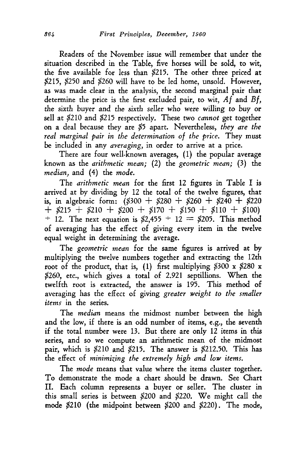Readers of the November issue will remember that under the situation described in the Table, five horses will be sold, to wit, the five available for less than \$215. The other three priced at \$215, \$250 and \$260 will have to be led home, unsold. However, as was made clear in the analysis, the second marginal pair that determine the price is the first excluded pair, to wit,  $Af$  and  $Bf$ , the sixth buyer and the sixth seller who were willing to buy or sell at \$210 and \$215 respectively. These two *cannot* get together on a deal because they are \$5 apart. Nevertheless, *they are the real marginal pair in the determination of the price.* They must be included in any *averaging,* in order to arrive at a price.

There are four well-known averages, (1) the popular average known as the *arithmetic mean;* (2) the *geometric mean;* (3) the *median,* and (4) the *mode.* 

The *arithmetic mean* for the first 12 figures in Table I is arrived at by dividing by 12 the total of the twelve figures, that is, in algebraic form:  $(8300 + 8280 + 8260 + 8240 + 8220$  $+$  \$215 + \$210 + \$200 + \$170 + \$150 + \$110 + \$100)  $\pm$  12. The next equation is \$2,455  $\pm$  12 = \$205. This method of averaging has the effect of giving every item in the twelve equal weight in determining the average.

The *geometric mean* for the same figures is arrived at by multiplying the twelve numbers together and extracting the 12th root of the product, that is, (1) first multiplying  $$300 \times $280 \times$ \$260, etc., which gives a total of 2.921 septillions. When the twelfth root is extracted, the answer is 195. This method of averaging has the effect of giving *greater weight to the smaller items* in the series.

The *median* means the midmost number between the high and the low, if there is an odd number of items, e.g., the seventh if the total number were 13. But there are only 12 items in this series, and so we compute an arithmetic mean of the midmost pair, which is \$210 and \$215. The answer is \$212.50. This has the effect of *minimizing the extremely high and low items.* 

The *mode* means that value where the items cluster together. To demonstrate the mode a chart should be drawn. See Chart II. Each column represents a buyer or seller. The cluster in this small series is between \$200 and \$220. We might call the mode \$210 (the midpoint between \$200 and \$220). The mode,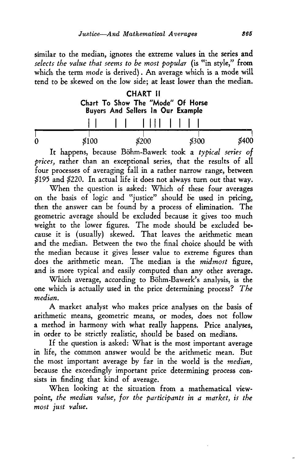similar to the median, ignores the extreme values in the series and *selects the value that seems to be most popular* (is "in style," from which the term *mode* is derived) . An average which is a mode will tend to be skewed on the low side; at least lower than the median.

|   |       | <b>CHART II</b><br>Buyers And Sellers In Our Example | Chart To Show The "Mode" Of Horse |       |
|---|-------|------------------------------------------------------|-----------------------------------|-------|
|   |       |                                                      |                                   |       |
| 0 | \$100 | \$200                                                | \$300                             | \$400 |

It happens, because Bohm-Bawerk took a *typical series of prices,* rather than an exceptional series, that the results of all four processes of averaging fall in a rather narrow range, between \$195 and \$220. In actual life it does not always turn out that way.

When the question is asked: Which of these four averages on the basis of logic and "justice" should be used in pricing, then the answer can be found by a process of elimination. The geometric average should be excluded because it gives too much weight to the lower figures. The mode should be excluded be. cause it is (usually) skewed. That leaves the arithmetic mean and the median. Between the two the final choice should be with the median because it gives lesser value to extreme figures than does the arithmetic mean. The median is the *midmost* figure, and is more typical and easily computed than any other average.

Which average, according to Bohm-Bawerk's analysis, is the one which is actually used in the price determining process? *The median.* 

A market analyst who makes price analyses on the basis of arithmetic means, geometric means, or modes, does not follow a method in harmony with what really happens. Price analyses, in order to be strictly realistic, should be based on medians.

If the question is asked: What is the most important average in life, the common answer would be the arithmetic mean. But the most important average by far in the world is the *median,*  because the exceedingly important price determining process consists in finding that kind of average.

When looking at the situation from a mathematical viewpoint, *the median value, for the participants in a market, is the most just value.*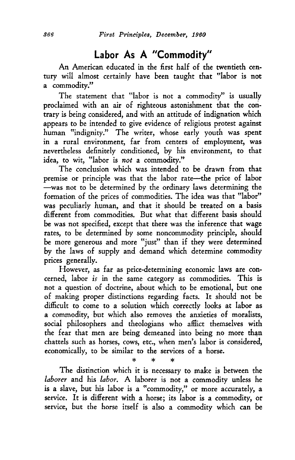# **Labor As A "Commodity"**

An American educated in the first half of the twentieth century will almost certainly have been taught that "labor is not a commodity."

The statement that "labor is not a commodity" is usually proclaimed with an air of righteous astonishment that the contrary is being considered, and with an attitude of indignation which appears to be intended to give evidence of religious protest against human "indignity." The writer, whose early youth was spent in a rural environment, far from centers of employment, was nevertheless definitely conditioned, *by* his environment, to that idea, to wit, "labor is *not* a commodity."

The conclusion which was intended to be drawn from that premise or principle was that the labor rate-the price of labor -was not to be determined by the ordinary laws determining the formation of the prices of commodities. The idea was that "labor'' was peculiarly human, and that it should be treated on a basis different from commodities. But what that different basis should be was not specified, except that there was the inference that wage rates, to be determined *by* some noncommodity principle, should be more generous and more "just" than if they were determined *by* the laws of supply and demand which determine commodity prices generally.

However, as far as price-determining economic laws are concerned, labor *is* in the same category as commodities. This is not a question of doctrine, about which to be emotional, but one of making proper distinctions regarding facts. It should not be difficult to come to a solution which correctly looks at labor as a commodity, but which also removes the anxieties of moralists, social philosophers and theologians who afHict themselves with the fear that men are being demeaned into being no more than chattels such as horses, cows, etc., when men's labor is considered, economically, to be similar to the services of a horse.

\* \* \* The distinction which it is necessary to make is between the *laborer* and his *labor.* A laborer is not a commodity unless he is a slave, but his labor is a "commodity," or more accurately, a service. It is different with a horse; its labor is a commodity, or service, but the horse itself is also a commodity which can be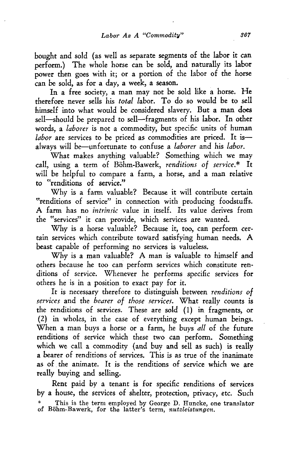bought and sold (as well as separate segments of the labor it can perform.) The whole horse can be sold, and naturally its labor power then goes with it; or a portion of the labor of the horse can be sold, as for a day, a week, a season.

In a free society, a man may not be sold like a horse. He therefore never sells his *total* labor. To do so would be to sell himself into what would be considered slavery. But a man does sell-should be prepared to sell-fragments of his labor. In other words, a *laborer* is not a commodity, but specific units of human *labor* are services to be priced as commodities are priced. It isalways will be-unfortunate to confuse a *laborer* and his *labor.* 

What makes anything valuable? Something which we may call, using a term of Böhm-Bawerk, *renditions of service*.\* It will be helpful to compare a farm, a horse, and a man relative to "renditions of service."

Why is a farm valuable? Because it will contribute certain "renditions of service" in connection with producing foodstuffs. A farm has no *intrinsic* value in itself. Its value derives from the "services" it can provide, which services are wanted.

Why is a horse valuable? Because it, too, can perform certain services which contribute toward satisfying human needs. A beast capable of performing no services is valueless.

Why is a man valuable? A man is valuable to himself and others because he too can perform services which constitute renditions of service. Whenever he performs specific services for others he is in a position to exact pay for it.

It is necessary therefore to distinguish between *renditions of serYices* and the *bearer of those serYices.* What really counts is the renditions of services. These are *sold* (I) in fragments, or (2) in wholes, in the case of everything except human beings. When a man buys a horse or a farm, he buys *all* of the future renditions of service which these two can perform. Something which we call a commodity (and buy and sell as such) is really a bearer of renditions of services. This is as true of the inanimate as of the animate. It is the renditions of service which we are really buying and selling.

Rent paid by a tenant is for specific renditions of services by a house, the services of shelter, protection, privacy, etc. Such \* This is the term employed by George D. Huneke, one translator of Bohm-Bawerk, for the latter's term, *nutzleistungen.*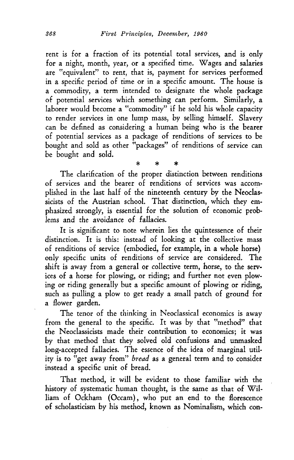rent is for a fraction of its potential total services, and is only for a night, month, year, or a specified time. Wages and salaries are "equivalent" to rent, that is, payment for services performed in a specific period of time or in a specific amount. The house is a commodity, a term intended to designate the whole package of potential services which something can perform. Similarly, a laborer would become a "commodity" if he sold his whole capacity to render services in one lump mass, by selling himself. Slavery can be defined as considering a human being who is the bearer of potential services as a package of renditions of services to be bought and sold as other "packages" of renditions of service can be bought and sold.

\* \* \* The clarification of the proper distinction between renditions of services and the bearer of renditions of services was accomplished in the last half of the nineteenth century by the Neoclassicists of the Austrian school. That distinction, which they emphasized strongly, is essential for the solution of economic problems and the avoidance of fallacies.

It is significant to note wherein lies the quintessence of their distinction. It is this: instead of looking at the collective mass of renditions of service (embodied, for example, in a whole horse) only specific units of renditions of service are considered. The shift is away from a general or collective term, horse, to the services of a horse for plowing, or riding; and further not even plowing or riding generally but a specific amount of plowing or riding, such as pulling a plow to get ready a small patch of ground for a flower garden.

The tenor of the thinking in Neoclassical economics is away from the general to the specific. It was by that "method" that the Neoclassicists made their contribution to economics; it was by that method that they solved old confusions and unmasked long-accepted fallacies. The essence of the idea of marginal utility is to "get away from" *bread* as a general term and to consider instead a specific unit of bread.

That method, it will be evident to those familiar with the history of systematic human thought, is the same as that of William of Ockham (Occam), who put an end to the florescence of scholasticism by his method, known as Nominalism, which con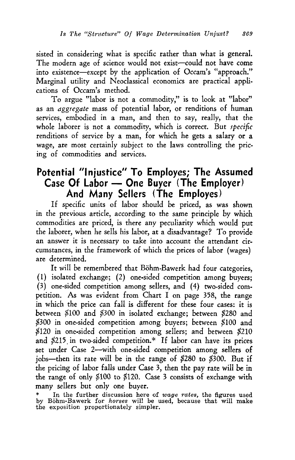sisted in considering what is specific rather than what is general. The modern age of science would not exist-could not have come into existence-except by the application of Occam's "approach." Marginal utility and Neoclassical economics are practical applications of Occam's method.

To argue "labor is not a commodity," is to look at "labor" as an *aggregate* mass of potential labor, or renditions of human services, embodied in a man, and then to say, really, that the whole laborer is not a commodity, which is correct. But *specific* renditions of service by a man, for which he gets a salary or a wage, are most certainly subject to the laws controlling the pricing of commodities and services.

# **Potential "Injustice" To Employes; The Assumed Case Of Labor- One Buyer (The Employer) And Many Sellers (The Employes)**

If specific units of labor should be priced, as was shown in the previous article, according to the same principle by which commodities are priced, is there any peculiarity which would put the laborer, when he sells his labor, at a disadvantage? To provide an answer it is necessary to take into account the attendant circumstances, in the framework of which the prices of labor {wages) are determined.

It will be remembered that Böhm-Bawerk had four categories, {1) isolated exchange; {2) one-sided competition among buyers;  $(3)$  one-sided competition among sellers, and  $(4)$  two-sided competition. As was evident from Chart I on page 358, the range in which the price can fall is different for these four cases: it is between \$100 and \$300 in isolated exchange; between \$280 and \$300 in one-sided competition among buyers; between \$100 and \$120 in one-sided competition among sellers; and between \$210 and \$215. in two-sided competition.\* If labor can have its prices set under Case 2-with one-sided competition among sellers of jobs-then its rate will be in the range of  $$280$  to  $$300$ . But if the pricing of labor falls under Case 3, then the pay rate will be in the range of only \$100 to \$120. Case 3 consists of exchange with many sellers but only one buyer.

<sup>\*</sup> In the further discussion here of *wage rates,* the figures used by Bohm-Bawerk for *horses* will be used, because that will make the exposition proportionately simpler.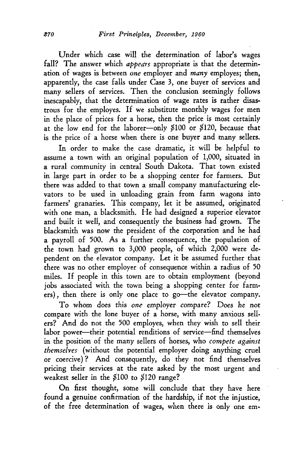Under which case will the determination of labor's wages fall? The answer which *appears* appropriate is that the determination of wages is between *one* employer and *many* employes; then, apparently, the case falls under Case 3, one buyer of services and many sellers of services. Then the conclusion seemingly follows inescapably, that the determination of wage rates is rather disastrous for the employes. If we substitute monthly wages for men in the place of prices for a horse, then the price is most certainly at the low end for the laborer-only \$100 or \$120, because that is the price of a horse when there is one buyer and many sellers.

In order to make the case dramatic, it will be helpful to assume a town with an original population of 1,000, situated in a rural community in central South Dakota. That town existed in large part in order to be a shopping center for farmers. But there was added to that town a small company manufacturing elevators to be used in unloading grain from farm wagons into farmers' granaries. This company, let it be assumed, originated with one man, a blacksmith. He had designed a superior elevator and built it well, and consequently the business had grown. The blacksmith was now the president of the corporation and he had a payroll of 500. As a further consequence, the population of the town had grown to 3,000 people, of which 2,000 were dependent on the elevator company. Let it be assumed further that there was no other employer of consequence within a radius of 50 miles. If people in this town are to obtain employment (beyond jobs associated with the town being a shopping center for farmers), then there is only one place to go-the elevator company.

To whom does this *one* employer compare? Does he not compare with the lone buyer of a horse, with many anxious sellers? And do not the 500 employes, when they wish to sell their labor power-their potential renditions of service-find themselves in the position of the many sellers of horses, who *compete against themselves* (without the potential employer doing anything cruel or coercive)? And consequently, do they not find themselves pricing their services at the rate asked by the most urgent and weakest seller in the \$100 to \$120 range?

On first thought, some will conclude that they have here found a genuine confirmation of the hardship, if not the injustice, of the free determination of wages, when there is only one em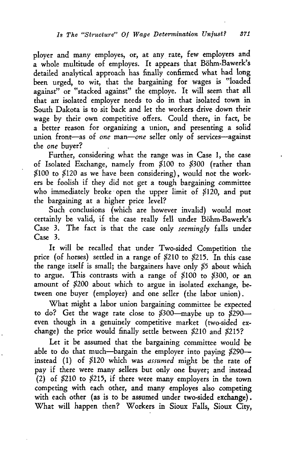ployer and many employes, or, at any rate, few employers and a whole multitude of employes. It appears that Bohm-Bawerk's detailed analytical approach has finally confirmed what had long been urged, to wit, that the bargaining for wages is "loaded against" or "stacked against" the employe. It will seem that all that arr isolated employer needs to do in that isolated town in South Dakota is to sit back and let the workers drive down their wage by their own competitive offers. Could there, in fact, be a better reason for organizing a union, and presenting a solid union front-as of *one* man-one seller only of services-against the *one* buyer?

Further, considering what the range was in Case 1, the case of Isolated Exchange, namely from \$100 to \$300 (rather than \$100 to \$120 as we have been considering), would not the workers be foolish if they did not get a tough bargaining committee who immediately broke open the upper limit of \$120, and put the bargaining at a higher price level?

Such conclusions (which are however invalid) would most certainly be valid, if the case really fell under Böhm-Bawerk's Case 3. The fact is that the case only *seemingly* falls under Case 3.

It will be recalled that under Two-sided Competition the price (of horses) settled in a range of \$210 to \$215. In this case the range itself is small; the bargainers have only \$5 about which to argue. This contrasts with a range of \$100 to \$300, or an amount of *\$200* about which to argue in isolated exchange, between one buyer (employer) and one seller (the labor union).

What might a labor union bargaining committee be expected to do? Get the wage rate close to \$300-maybe up to *\$290* even though in a genuinely competitive market (two-sided exchange) the price would finally settle between \$210 and \$215?

Let it be assumed that the bargaining committee would be able to do that much-bargain the employer into paying *\$290* instead (1) of \$120 which was *assumed* might be the rate of pay if there were many sellers but only one buyer; and instead (2) of \$210 to \$215, if there were many employers in the town competing with each other, and many employes also competing with each other (as is to be assumed under two-sided exchange). What will happen then? Workers in Sioux Falls, Sioux City,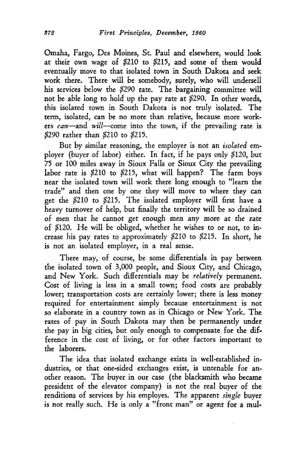Omaha, Fargo, Des Moines, St. Paul and elsewhere, would look at their own wage of \$210 to \$215, and some of them would eventually move to that isolated town in South Dakota and seek work there. There will be somebody, surely, who will undersell his services below the \$290 rate. The bargaining committee will not be able long to hold up the pay rate at \$290. In other words, this isolated town in South Dakota is not truly isolated. The term, isolated, can be no more than relative, because more workers *can*-and *will*-come into the town, if the prevailing rate is \$290 rather than \$210 to \$215.

But by similar reasoning, the employer is not an *isolated* employer (buyer of labor) either. In fact, if he pays only \$120, but 75 or 100 miles away in Sioux Falls or Sioux City the prevailing labor rate is \$210 to \$215, what will happen? The farm boys near the isolated town will work there long enough to "learn the trade" and then one by one they will move to where they can get the \$210 to \$215. The isolated employer will first have a heavy turnover of help, but finally the territory will be so drained of men that he cannot *get* enough men any more at the rate of \$i20. He will be obliged, whether he wishes to or not, to increase his pay rates to approximately \$210 to \$215. In short, he is not an isolated employer, in a real sense.

There may, of course, be some differentials in pay between the isolated town of 3,000 people, and Sioux City, and Chicago, and New York. Such differentials may be *relatively* permanent. Cost of living is less in a small town; food costs are probably lower; transportation costs are certainly lower; there is less money required for entertainment simply because entertainment is not so elaborate in a country town as in Chicago or New York. The rates of pay in South Dakota may then be permanently under the pay in big cities, but only enough to compensate for the dif. ference in the cost of living, or for other factors important to the laborers.

The idea that isolated exchange exists in well-established industries, or that one-sided exchanges exist, is untenable for another reason. The buyer in our case (the blacksmith who became president of the elevator company) is not the real buyer of the renditions of services by his employes. The apparent *single* buyer is not really such. He is only a "front man" or agent for a mul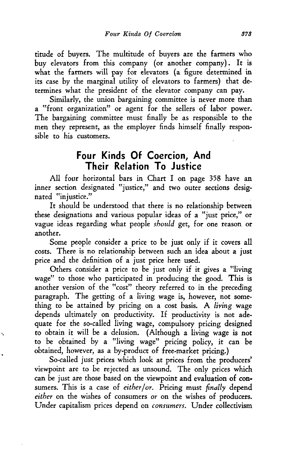titude of buyers. The multitude of buyers are the farmers who buy elevators from this company (or another company). It is what the farmers will pay for elevators (a figure determined in its case *by* the marginal utility of elevators to farmers) that determines what the president of the elevator company can pay.

Similarly, the union bargaining committee is never more than a "front organization" or agent for the sellers of labor power. The bargaining committee must finally be as responsible to the men they represent, as the employer finds himself finally responsible to his customers.

# **Four Kinds Of Coercion, And Their Relation To Justice**

All four horizontal bars in Chart I on page 358 have an inner section designated "justice," and two outer sections designated "injustice."

It should be understood that there is no relationship between these designations and various popular ideas of a "just price," or vague ideas regarding what people *should* get, for one reason or another.

Some people consider a price to be just only if it covers all costs. There is no relationship between such an idea about a just price and the definition of a just price here used.

Others consider a price to be just only if it gives a "living wage" to those who participated in producing the good. This is another version of the "cost" theory referred to in the preceding paragraph. The getting of a living wage is, however, not something to be attained by pricing on a cost basis. A *living* wage depends ultimately on productivity. If productivity is not adequate for the so-called living wage, compulsory pricing designed to obtain it will be a delusion. (Although a living wage is not to be obtained *by* a "living wage" pricing policy, it can be obtained, however, as a by-product of free-market pricing.)

So-called just prices which look at prices from the producers' viewpoint are to be rejected as unsound. The only prices which can be just are those based on the viewpoint and evaluation of con· sumers. This is a case of *either/or.* Pricing must *finally* depend *either* on the wishes of consumers *or* on the wishes of producers. Under capitalism prices depend on *consumers.* Under collectivism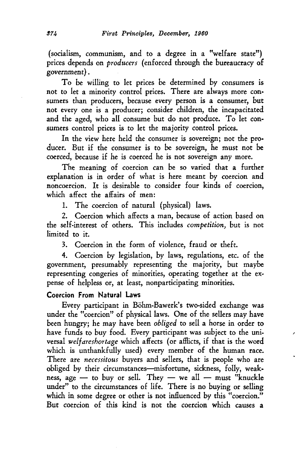(socialism, communism, and to a degree in a "welfare state") prices depends on *producers* (enforced through the bureaucracy of government).

To be willing to let prices be determined by consumers is not to let a minority control prices. There are always more consumers than producers, because every person is a consumer, but not every one is a producer; consider children, the incapacitated and the aged, who all consume but do not produce. To let con· sumers control prices is to let the majority control prices.

In the view here held the consumer is sovereign; not the pro· ducer. But if the consumer is to be sovereign, he must not be coerced, because if he is coerced he is not sovereign any more.

The meaning of coercion can be so varied that a further explanation is in order of what is here meant by coercion and noncoercion. It is desirable to consider four kinds of coercion, which affect the affairs of men:

1. The coercion of natural (physical) laws.

2. Coercion which affects a man, because of action based on the self-interest of others. This includes *competition,* but is not limited to it.

3. Coercion in the form of violence, fraud or theft.

4. Coercion by legislation, by laws, regulations, etc. of the government, presumably representing the majority, but maybe representing congeries of minorities, operating together at the expense of helpless or, at least, nonparticipating minorities.

### **Coercion From Natural Laws**

Every participant in Bohm-Bawerk's two-sided exchange was under the "coercion" of physical laws. One of the sellers may have been hungry; he may have been *obliged* to sell a horse in order to have funds to buy food. Every participant was subject to the universal *welfareshortage* which affects (or afflicts, if that is the word which is unthankfully used) every member of the human race. There are *necessitous* buyers and sellers, that is people who are obliged by their circumstances-misfortune, sickness, folly, weakness, age  $-$  to buy or sell. They  $-$  we all  $-$  must "knuckle under" to the circumstances of life. There is no buying or selling which in some degree or other is not influenced by this "coercion." But coercion of this kind is not the coercion which causes a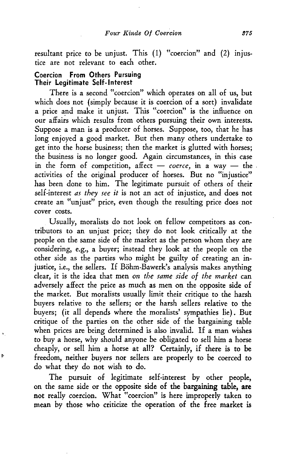resultant price to be unjust. This (1) "coercion" and (2) injustice are not relevant to each other.

#### Coercion From Others Pursuing Their Legitimate Self-Interest

b

There is a second "coercion" which operates on all of us, but which does not (simply because it is coercion of a sort) invalidate a price and make it unjust. This "coercion" is the influence on our affairs which results from others pursuing their own interests. Suppose a man is a producer of horses. Suppose, too, that he has long enjoyed a good market. But then many others undertake to get into the horse business; then the market is glutted with horses; the business is no longer good. Again circumstances, in this case in the form of competition, affect  $-$  *coerce*, in a way  $-$  the activities of the original producer of horses. But no "injustice" has been done to him. The legitimate pursuit of others of their self-interest *as they see it* is not an act of injustice, and does not create an "unjust" price, even though the resulting price does not cover costs.

Usually, moralists do not look on fellow competitors as contributors to an unjust price; they do not look critically at the people on the same side of the market as the person whom they are considering, e.g., a buyer; instead they look at the people on the other side as the parties who might be guilty of creating an injustice, i.e., the sellers. If Böhm-Bawerk's analysis makes anything clear, it is the idea that men *on the same side of the market* can adversely affect the price as much as men on the opposite side of the market. But moralists usually limit their critique to the harsh buyers relative to the sellers; or the harsh sellers relative to the buyers; (it all depends where the moralists' sympathies lie). But critique of the parties on the other side of the bargaining table when prices are being determined is also invalid. If a man wishes to buy a horse, why should anyone be obligated to sell him a horse cheaply, or sell him a horse at all? Certainly, if there is to be freedom, neither buyers nor sellers are properly to be coerced to do what they do not wish to do.

The pursuit of legitimate self-interest by other people, on the same side or the opposite side of the bargaining table, are not really coercion. What "coercion" is here improperly taken to mean *by* those who criticize the operation of the free market is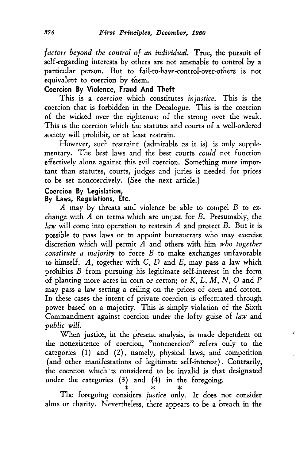*factors beyond the control of an individual.* True, the pursuit of self-regarding interests by others are not amenable to control by a particular person. But to fail-to-have-control-over-others is not equivalent to coercion by them.

### **Coercion By Violence, Fraud And Theft**

This is a *coercion* which constitutes *injustice*. This is the coercion that is forbidden in the Decalogue. This is the coercion of the wicked over the righteous; of the strong over the weak. This is the coercion which the statutes and courts of a well-ordered society will prohibit, or at least restrain.

However, such restraint (admirable as it is) is only supplementary. The best laws and the best courts *could* not function effectively alone against this evil coercion. Something more important than statutes, courts, judges and juries is needed for prices to be set noncoercively. (See the next article.)

### **Coercion By Legislation,**

#### **By Laws, Regulations, Etc.**

A may by threats and violence be able to compel B to exchange with  $A$  on terms which are unjust for  $B$ . Presumably, the *law* will come into operation to restrain *A* and protect *B.* But it is possible to pass laws or to appoint bureaucrats who may exercise discretion which will permit *A* and others with him *who together constitute a majority* to force *B* to make exchanges unfavorable to himself.  $A$ , together with  $C$ ,  $D$  and  $E$ , may pass a law which prohibits B from pursuing his legitimate self-interest in the form of planting more acres in corn or cotton; or  $K, L, M, N, O$  and  $P$ may pass a law setting a ceiling on the prices of corn and cotton. In these cases the intent of private coercion is effectuated through power based on a majority. This is simply violation of the Sixth Commandment against coercion under the lofty guise of *law* and *public will.* 

When justice, in the present analysis, is made dependent on the nonexistence of coercion, "noncoercion" refers only to the categories (1) and (2), namely, physical laws, and competition (and other manifestations of legitimate self-interest). Contrarily, the coercion which is considered to be invalid is that designated under the categories  $(3)$  and  $(4)$  in the foregoing.

The foregoing considers *justice* only. It does not consider alms or charity. Nevertheless, there appears to be a breach in the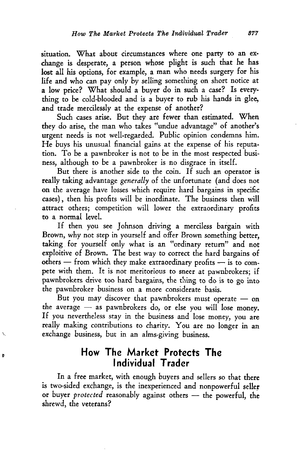situation. What about circumstances where one party to an exchange is desperate, a person whose plight is such that he has lost all his options, for example, a man who needs surgery for his life and who can pay only by selling something on short notice at a low price? What should a buyer do in such a case? Is everything to be cold-blooded and is a buyer to rub his hands in glee, and trade mercilessly at the expense of another?

Such cases arise. But they are fewer than estimated. When they do arise, the man who takes "undue advantage" of another's urgent needs is not well-regarded. Public opinion condemns him. He buys his unusual financial gains at the expense of his reputation. To be a pawnbroker is not to be in the most respected business, although to be a pawnbroker is no disgrace in itself.

But there is another side to the coin. If such an operator is really taking advantage *generally* of the unfortunate (and does not on the average have losses which require hard bargains in specific cases), then his profits will be inordinate. The business then will attract others; competition will lower the extraordinary profits to a normal level.

If then you see Johnson driving a merciless bargain with Brown, why not step in yourself and offer Brown something better, taking for yourself only what is an "ordinary return" and not exploitive of Brown. The best way to correct the hard bargains of others  $-$  from which they make extraordinary profits  $-$  is to compete with them. It is not meritorious to sneer at pawnbrokers; if pawnbrokers drive too hard bargains, the thing to do is to go into the pawnbroker business on a more considerate basis.

But you may discover that pawnbrokers must operate  $-$  on the average  $-$  as pawnbrokers do, or else you will lose money. If you nevertheless stay in the business and lose money, you are really making contributions to charity. You are no longer in an exchange business, but in an alms-giving business.

# **How The Market Protects The Individual Trader**

Þ

In a free market, with enough buyers and sellers so that there is two-sided exchange, is the inexperienced and nonpowerful seller or buyer *protected* reasonably against others - the powerful, the shrewd, the veterans?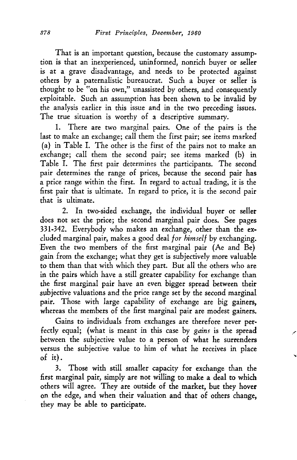That is an important question, because the customary assumption is that an inexperienced, uninformed, nonrich buyer or seller is at a grave disadvantage, and needs to be protected against others by a paternalistic bureaucrat. Such a buyer or seller is thought to be "on his own," unassisted by others, and consequently exploitable. Such an assumption has been shown to be invalid by the analysis earlier in this issue and in the two preceding issues. The true situation is worthy of a descriptive summary.

1. There are two marginal pairs. One of the pairs is the last to make an exchange; call them the first pair; see items marked (a) in Table I. The other is the first of the pairs not to make an exchange; call them the second pair; see items marked (b) in Table I. The first pair determines the participants. The second pair determines the range of prices, because the second pair has a price range within the first. In regard to actual trading, it is the first pair that is ultimate. In regard to price, it is the second pair that is ultimate.

2. In two-sided exchange, the individual buyer or seller does not set the price; the second marginal pair does. See pages 331-342. Everybody who makes an exchange, other than the excluded marginal pair, makes a good deal *for himself* by exchanging. Even the two members of the first marginal pair (Ae and Be) gain from the exchange; what they get is subjectively more valuable to them than that with which they part. But all the others who are in the pairs which have a still greater capability for exchange than the first marginal pair have an even bigger spread between their subjective valuations and the price range set by the second marginal pair. Those with large capability of exchange are big gainers, whereas the members of the first marginal pair are modest gainers.

Gains to individuals from exchanges are therefore never perfectly equal; (what is meant in this case by *gains* is the spread between the subjective value to a person of what he surrenders versus the subjective value to him of what he receives in place of it).

3. Those with still smaller capacity for exchange than the first marginal pair, simply are not willing to make a deal to which others will agree. They are outside of the market, but they hover on the edge, and when their valuation and that of others change, they may be able to participate.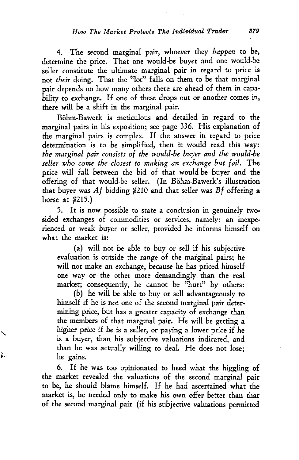4. The second marginal pair, whoever they *happen* to be, determine the price. That one would-be buyer and one would-be seller constitute the ultimate marginal pair in regard to price is not *their* doing. That the ''lot" falls on them to be that marginal pair depends on how many others there are ahead of them in capability to exchange. If one of these drops out or another comes in, there will be a shift in the marginal pair.

Bohm-Bawerk is meticulous and detailed in regard to the marginal pairs in his exposition; see page 336. His explanation of the marginal pairs is complex. If the answer in regard to price determination is to be simplified, then it would read this way: *the marginal pair consists of the would-be buyer and the would-be*  seller who come the closest to making an exchange but fail. The price will fall between the bid of that would-be buyer and the offering of that would-be seller. (In Bohm-Bawerk's illustration that buyer was  $Af$  bidding \$210 and that seller was  $Bf$  offering a horse at  $$215.$ )

5. It is now possible to state a conclusion in genuinely twosided exchanges of commodities or services, namely: an inexperienced or weak buyer or seller, provided he informs himself on what the market is:

(a) will not be able to *buy* or sell if his subjective evaluation is outside the range of the marginal pairs; he will not make an exchange, because he has priced himself one way or the other more demandingly than the real market; consequently, he cannot be "hurt" *by* others:

(b) he will be able to *buy* or sell advantageously to himself if he is not one of the second marginal pair determining price, but has a greater capacity of exchange than the members of that marginal pair. He will be getting a higher price if he is a seller, or paying a lower price if he is a buyer, than his subjective valuations indicated, and than he was actually willing to deal. He does not lose; he gains.

È

6. If he was too opinionated to heed what the higgling of the market revealed the valuations of the second marginal pair to be, he should blame himself. If he had ascertained what the market is, he needed only to make his own offer better than that of the second marginal pair (if his subjective valuations permitted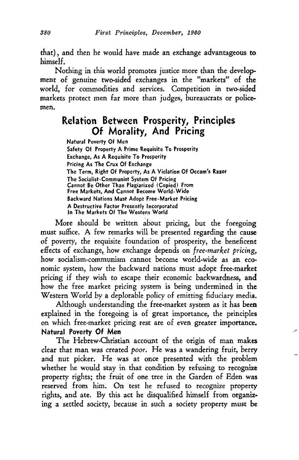that), and then he would have made an exchange advantageous to himself.

Nothing in this world promotes justice more than the development of genuine two-sided exchanges in the "markets" of the world, for commodities and services. Competition in two-sided markets protect men far more than judges, bureaucrats or policemen.

## **Relation Between Prosperity, Principles Of Morality, And Pricing**

Natural Poverty Of Men Safety Of Property A Prime Requisite To Prosperity Exchange, As A Requisite To Prosperity Pricing As The Crux Of Exchange The Term, Right Of Property, As A Violation Of Occam's Razor The Socialist-Communist System Of Pricing Cannot Be Other Than Plagiarized (Copied) From Free Markets, And Cannot Become World-Wide Backward Nations Must Adopt Free-Market Pricing A Destructive Factor Presently Incorporated In The Markets Of The Western World

More should be written about pricing, but the foregoing must suffice. A few remarks will be presented regarding the cause of poverty, the requisite foundation of prosperity, the beneficent effects of exchange, how exchange depends on *free-market pricing*, how socialism-communism cannot become world-wide as an economic system, how the backward nations must adopt free-market pricing if they wish to escape their economic backwardness, and how the free market pricing system is being undermined in the Western World by a deplorable policy of emitting fiduciary media.

Although understanding the free-market system as it has been explained in the foregoing is of great importance, the principles on which free-market pricing rest are of even greater importance. **Natural** Poverty **Of Men** 

\_\_ ....

The Hebrew-Christian account of the origin of man makes clear that man was created *poor.* He was a wandering fruit, berry and nut picker. He was at once presented with the problem whether he would stay in that condition by refusing to recognize property rights; the fruit of one tree in the Garden of Eden was reserved from him. On test he refused to recognize property rights, and ate. By this act he disqualified himself from organizing a settled society, because in such a society property must be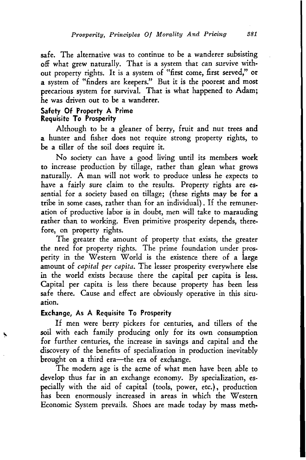safe. The alternative was to continue to be a wanderer subsisting off what grew naturally. That is a system that can survive without property rights. It is a system of "first come, first served," or a system of "finders are keepers." But it is the poorest and most precarious system for survival. That is what happened to Adam; he was driven out to be a wanderer.

#### Safety Of Property A Prime Requisite To Prosperity

Although to be a gleaner of berry, fruit and nut trees and a hunter and fisher does not require strong property rights, to be a tiller of the soil does require it.

No society can have a good living until its members work to increase production by tillage, rather than glean what grows naturally. A man will not work to produce unless he expects to have a fairly sure claim to the results. Property rights are essential for a society based on tillage; (these rights may be for a tribe in some cases, rather than for an individual}. If the remuneration of productive labor is in doubt, men will take to marauding rather than to working. Even primitive prosperity depends, therefore, on property rights.

The greater the amount of property that exists, the greater the. need for property rights. The prime foundation under prosperity in the Western World is the existence there of a large amount of *capital per capita.* The lesser prosperity everywhere else in the world exists because there the capital per capita is less. Capital per capita is less there because property has been less safe there. Cause and effect are obviously operative in this situation.

### Exchange, As A Requisite To Prosperity

If men were berry pickers for centuries, and tillers of the soil with each family producing only for its own consumption for further centuries, the increase in savings and capital and the discovery of the benefits of specialization in production inevitably brought on a third era-the era of exchange.

The modern age is the acme of what men have been able to develop thus far in an exchange economy. By specialization, especially with the aid of capital (tools, power, etc.), production has been enormously increased in areas in which the Western Economic System prevails. Shoes are made today by mass meth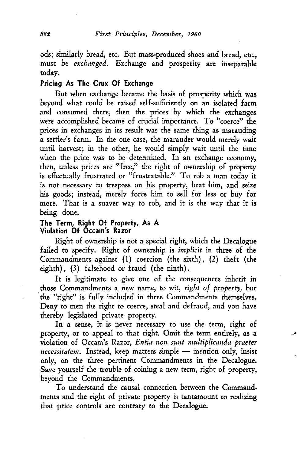ods; similarly bread, etc. But mass-produced shoes and bread, etc., must be *exchanged.* Exchange and prosperity are inseparable today.

#### Pricing As The Crux Of Exchange

But when exchange became the basis of prosperity which was beyond what could be raised self-sufficiently on an isolated farm and consumed there, then the prices by which the exchanges were accomplished became of crucial importance. To "coerce" the prices in exchanges in its result was the same thing as marauding a settler's farm. In the one case, the marauder would merely wait until harvest; in the other, he would simply wait until the time when the price was to be determined. In an exchange economy, then, unless prices are "free," the right of ownership of property is effectually frustrated or "frustratable." To rob a man today it is not necessary to trespass on his property, beat him, and seize his goods; instead, merely force him to sell for less or buy for more. That is a suaver way to rob, and it is the way that it is being done.

### The Term, Right Of Property, As A Violation Of Occam's Razor

Right of ownership is not a special right, which the Decalogue failed to specify. Right of ownership is *implicit* in three of the Commandments against {1) coercion (the sixth), (2) theft (the eighth), (3) falsehood or fraud (the ninth).

It is legitimate to give one of the consequences inherit in those Commandments a new name, to wit, *right of property,* but . the "right" is fully included in three Commandments themselves. Deny to men the right to coerce, steal and defraud, and you have thereby legislated private property.

In a sense, it is never necessary to use the term, right of property, or to appeal to that right. Omit the term entirely, as a violation of Occam's Razor, *Entia non sunt multiplicanda praeter necessitatem.* Instead, keep matters simple - mention only, insist only, on the three pertinent Commandments in the Decalogue. Save yourself the trouble of coining a new term, right of property, beyond the Commandments.

To understand the causal connection between the Commandments and the right of private property is tantamount to realizing that price controls are contrary to the Decalogue.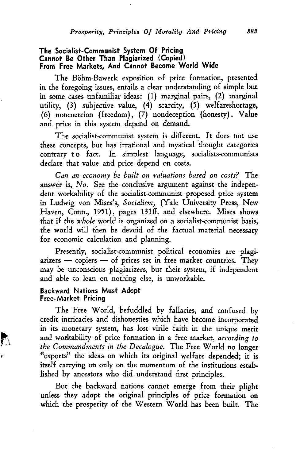#### **The Socialist-Communist System Of Pricing Cannot Be Other Than Plagiarized (Copied) From Free Markets, And Cannot Become World Wide**

The Böhm-Bawerk exposition of price formation, presented in the foregoing issues, entails a clear understanding of simple but in some cases unfamiliar ideas: (1) marginal pairs, (2) marginal utility, (3) subjective value, (4) scarcity, (5) welfareshortage, (6) noncoercion (freedom), (7) nondeception (honesty). Value and price in this system depend on demand.

The socialist-communist system is different. It does not use these concepts, but has irrational and mystical thought categories contrary to fact. In simplest language, socialists-communists declare that value and price depend on costs.

*Can an economy be built on valuations based on costs?* The answer is, *No*. See the conclusive argument against the independent workability of the socialist-communist proposed price system in Ludwig von Mises's, *Socialism,* (Yale University Press, New Haven, Conn., 1951), pages 131ff. and elsewhere. Mises shows that if the *whole* world is organized on a socialist-communist basis, the world will then be devoid of the factual material necessaty for economic calculation and planning.

Presently, socialist-communist political economies are plagi $arizers$  - copiers - of prices set in free market countries. They may be unconscious plagiarizers, but their system, if independent and able to lean on nothing else, is unworkable.

#### **Backward Nations Must Adopt Free-Market Pricing**

b

The Free World, befuddled *by* fallacies, and confused *by*  credit intricacies and dishonesties which have become incorporated in its monetary system, has lost virile faith in the unique merit and workability of price formation in a free market, *according to the Commandments in the Decalogue.* The Free World no longer "exports" the ideas on which its original welfare depended; it is itself carrying on only on the momentum of the institutions established *by* ancestors who did understand first principles.

But the backward nations cannot emerge from their plight unless they adopt the original principles of price formation on which the prosperity of the Western World has been built. The